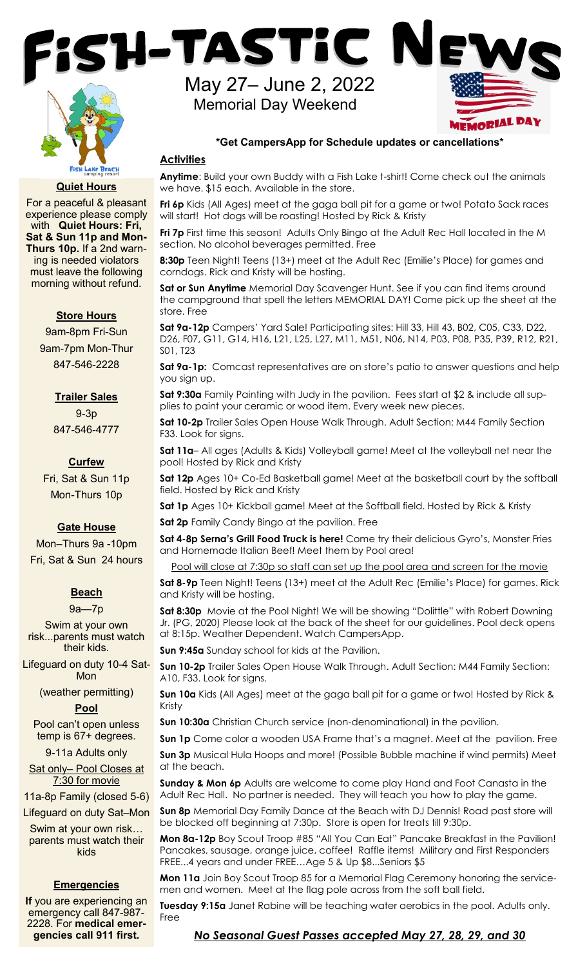

#### **Quiet Hours**

For a peaceful & pleasant experience please comply with **Quiet Hours: Fri, Sat & Sun 11p and Mon-Thurs 10p.** If a 2nd warning is needed violators must leave the following morning without refund.

### **Store Hours**

9am-8pm Fri-Sun 9am-7pm Mon-Thur 847-546-2228

#### **Trailer Sales**

9-3p 847-546-4777

#### **Curfew**

Fri, Sat & Sun 11p Mon-Thurs 10p

### **Gate House**

Mon–Thurs 9a -10pm Fri, Sat & Sun 24 hours

# **Beach**

9a—7p

Swim at your own risk...parents must watch their kids.

Lifeguard on duty 10-4 Sat-Mon

(weather permitting)

#### **Pool**

Pool can't open unless temp is 67+ degrees.

9-11a Adults only

Sat only– Pool Closes at 7:30 for movie

11a-8p Family (closed 5-6)

Lifeguard on duty Sat–Mon

Swim at your own risk… parents must watch their kids

## **Emergencies**

**If** you are experiencing an emergency call 847-987- 2228. For **medical emergencies call 911 first.**

May 27– June 2, 2022 Memorial Day Weekend



#### **\*Get CampersApp for Schedule updates or cancellations\***

## **Activities**

**Anytime**: Build your own Buddy with a Fish Lake t-shirt! Come check out the animals we have. \$15 each. Available in the store.

**Fri 6p** Kids (All Ages) meet at the gaga ball pit for a game or two! Potato Sack races will start! Hot dogs will be roasting! Hosted by Rick & Kristy

**Fri 7p** First time this season! Adults Only Bingo at the Adult Rec Hall located in the M section. No alcohol beverages permitted. Free

**8:30p** Teen Night! Teens (13+) meet at the Adult Rec (Emilie's Place) for games and corndogs. Rick and Kristy will be hosting.

**Sat or Sun Anytime** Memorial Day Scavenger Hunt. See if you can find items around the campground that spell the letters MEMORIAL DAY! Come pick up the sheet at the store. Free

**Sat 9a-12p** Campers' Yard Sale! Participating sites: Hill 33, Hill 43, B02, C05, C33, D22, D26, F07, G11, G14, H16, L21, L25, L27, M11, M51, N06, N14, P03, P08, P35, P39, R12, R21, S01, T23

**Sat 9a-1p:** Comcast representatives are on store's patio to answer questions and help you sign up.

**Sat 9:30a** Family Painting with Judy in the pavilion. Fees start at \$2 & include all supplies to paint your ceramic or wood item. Every week new pieces.

**Sat 10-2p** Trailer Sales Open House Walk Through. Adult Section: M44 Family Section F33. Look for signs.

**Sat 11a**– All ages (Adults & Kids) Volleyball game! Meet at the volleyball net near the pool! Hosted by Rick and Kristy

**Sat 12p** Ages 10+ Co-Ed Basketball game! Meet at the basketball court by the softball field. Hosted by Rick and Kristy

**Sat 1p** Ages 10+ Kickball game! Meet at the Softball field. Hosted by Rick & Kristy

**Sat 2p** Family Candy Bingo at the pavilion. Free

**Sat 4-8p Serna's Grill Food Truck is here!** Come try their delicious Gyro's, Monster Fries and Homemade Italian Beef! Meet them by Pool area!

Pool will close at 7:30p so staff can set up the pool area and screen for the movie

**Sat 8-9p** Teen Night! Teens (13+) meet at the Adult Rec (Emilie's Place) for games. Rick and Kristy will be hosting.

**Sat 8:30p** Movie at the Pool Night! We will be showing "Dolittle" with Robert Downing Jr. (PG, 2020) Please look at the back of the sheet for our guidelines. Pool deck opens at 8:15p. Weather Dependent. Watch CampersApp.

**Sun 9:45a** Sunday school for kids at the Pavilion.

**Sun 10-2p** Trailer Sales Open House Walk Through. Adult Section: M44 Family Section: A10, F33. Look for signs.

**Sun 10a** Kids (All Ages) meet at the gaga ball pit for a game or two! Hosted by Rick & Kristy

**Sun 10:30a** Christian Church service (non-denominational) in the pavilion.

**Sun 1p** Come color a wooden USA Frame that's a magnet. Meet at the pavilion. Free

**Sun 3p** Musical Hula Hoops and more! (Possible Bubble machine if wind permits) Meet at the beach.

**Sunday & Mon 6p** Adults are welcome to come play Hand and Foot Canasta in the Adult Rec Hall. No partner is needed. They will teach you how to play the game.

**Sun 8p** Memorial Day Family Dance at the Beach with DJ Dennis! Road past store will be blocked off beginning at 7:30p. Store is open for treats till 9:30p.

**Mon 8a-12p** Boy Scout Troop #85 "All You Can Eat" Pancake Breakfast in the Pavilion! Pancakes, sausage, orange juice, coffee! Raffle items! Military and First Responders FREE...4 years and under FREE…Age 5 & Up \$8...Seniors \$5

**Mon 11a** Join Boy Scout Troop 85 for a Memorial Flag Ceremony honoring the servicemen and women. Meet at the flag pole across from the soft ball field.

**Tuesday 9:15a** Janet Rabine will be teaching water aerobics in the pool. Adults only. Free

### *No Seasonal Guest Passes accepted May 27, 28, 29, and 30*